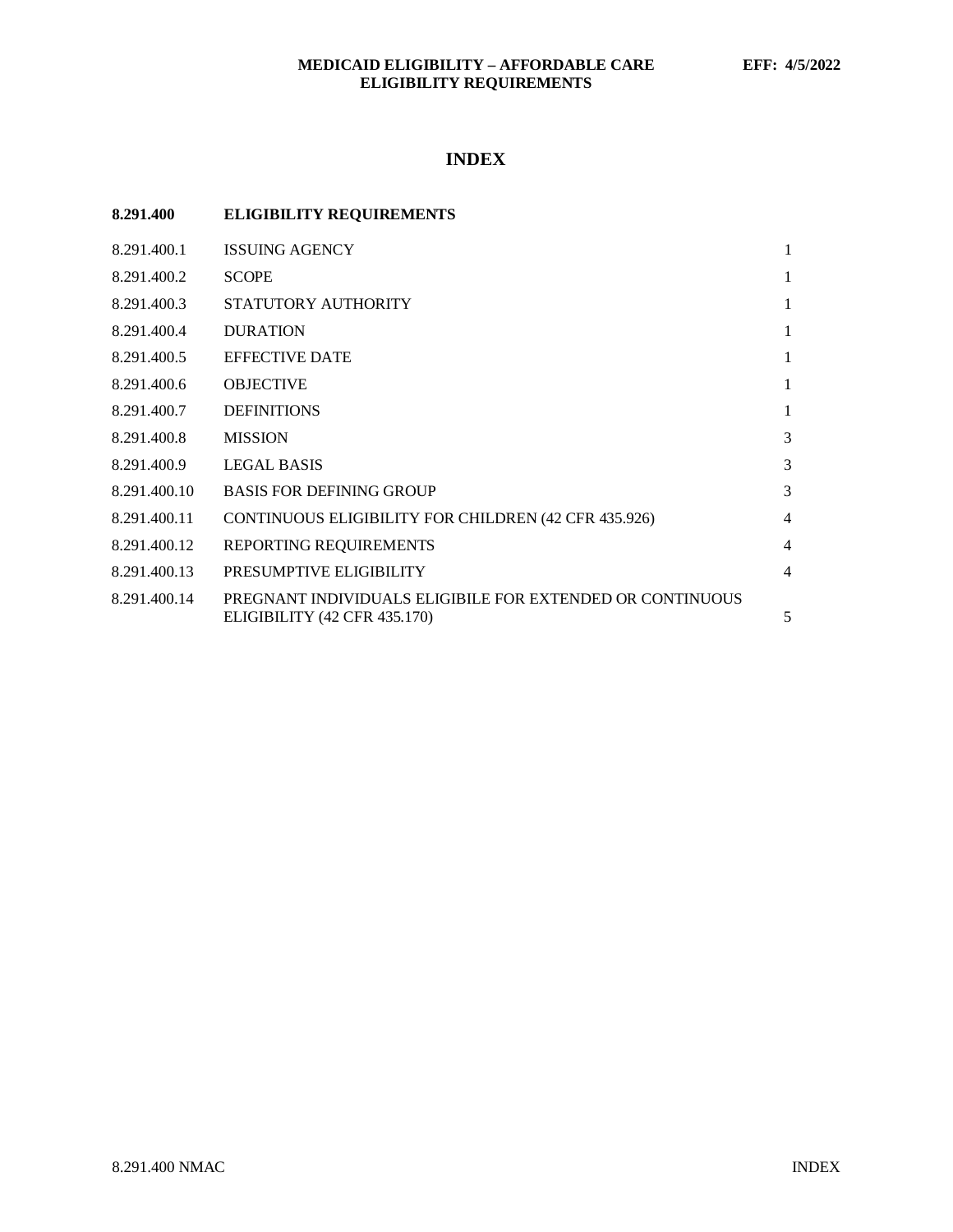# **INDEX**

| 8.291.400    | <b>ELIGIBILITY REQUIREMENTS</b>                                                           |                |
|--------------|-------------------------------------------------------------------------------------------|----------------|
| 8.291.400.1  | <b>ISSUING AGENCY</b>                                                                     | $\mathbf{1}$   |
| 8.291.400.2  | <b>SCOPE</b>                                                                              | 1              |
| 8.291.400.3  | STATUTORY AUTHORITY                                                                       | $\mathbf{1}$   |
| 8.291.400.4  | <b>DURATION</b>                                                                           | $\mathbf{1}$   |
| 8.291.400.5  | <b>EFFECTIVE DATE</b>                                                                     | 1              |
| 8.291.400.6  | <b>OBJECTIVE</b>                                                                          | 1              |
| 8.291.400.7  | <b>DEFINITIONS</b>                                                                        | $\mathbf{1}$   |
| 8.291.400.8  | <b>MISSION</b>                                                                            | 3              |
| 8.291.400.9  | LEGAL BASIS                                                                               | 3              |
| 8.291.400.10 | <b>BASIS FOR DEFINING GROUP</b>                                                           | 3              |
| 8.291.400.11 | CONTINUOUS ELIGIBILITY FOR CHILDREN (42 CFR 435.926)                                      | $\overline{4}$ |
| 8.291.400.12 | REPORTING REQUIREMENTS                                                                    | $\overline{4}$ |
| 8.291.400.13 | PRESUMPTIVE ELIGIBILITY                                                                   | $\overline{4}$ |
| 8.291.400.14 | PREGNANT INDIVIDUALS ELIGIBILE FOR EXTENDED OR CONTINUOUS<br>ELIGIBILITY (42 CFR 435.170) | 5              |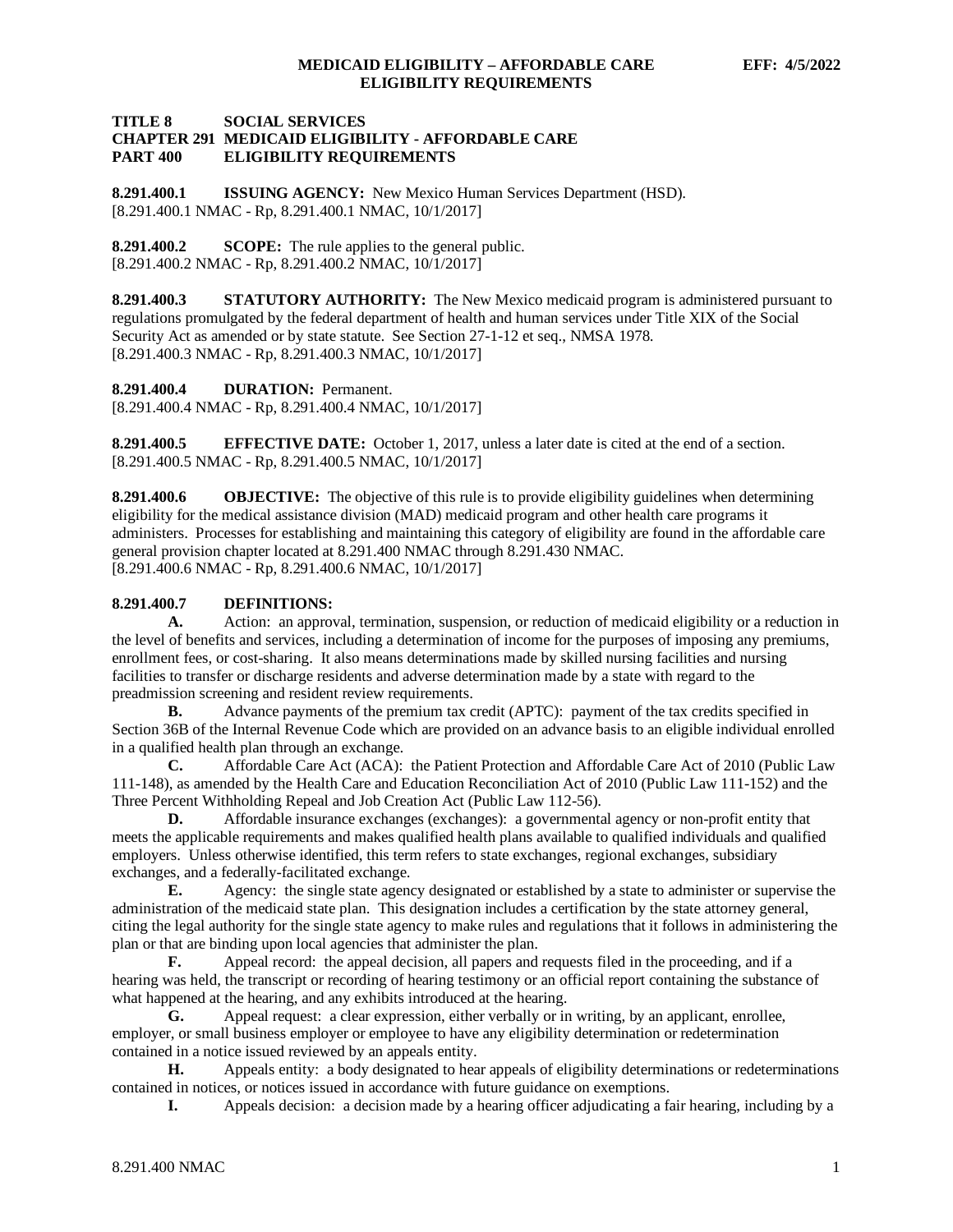# **TITLE 8 SOCIAL SERVICES CHAPTER 291 MEDICAID ELIGIBILITY - AFFORDABLE CARE ELIGIBILITY REQUIREMENTS**

<span id="page-1-0"></span>**8.291.400.1 ISSUING AGENCY:** New Mexico Human Services Department (HSD). [8.291.400.1 NMAC - Rp, 8.291.400.1 NMAC, 10/1/2017]

<span id="page-1-1"></span>**8.291.400.2 SCOPE:** The rule applies to the general public. [8.291.400.2 NMAC - Rp, 8.291.400.2 NMAC, 10/1/2017]

<span id="page-1-2"></span>**8.291.400.3 STATUTORY AUTHORITY:** The New Mexico medicaid program is administered pursuant to regulations promulgated by the federal department of health and human services under Title XIX of the Social Security Act as amended or by state statute. See Section 27-1-12 et seq., NMSA 1978. [8.291.400.3 NMAC - Rp, 8.291.400.3 NMAC, 10/1/2017]

<span id="page-1-3"></span>**8.291.400.4 DURATION:** Permanent.

[8.291.400.4 NMAC - Rp, 8.291.400.4 NMAC, 10/1/2017]

<span id="page-1-4"></span>**8.291.400.5 EFFECTIVE DATE:** October 1, 2017, unless a later date is cited at the end of a section. [8.291.400.5 NMAC - Rp, 8.291.400.5 NMAC, 10/1/2017]

<span id="page-1-5"></span>**8.291.400.6 OBJECTIVE:** The objective of this rule is to provide eligibility guidelines when determining eligibility for the medical assistance division (MAD) medicaid program and other health care programs it administers. Processes for establishing and maintaining this category of eligibility are found in the affordable care general provision chapter located at 8.291.400 NMAC through 8.291.430 NMAC. [8.291.400.6 NMAC - Rp, 8.291.400.6 NMAC, 10/1/2017]

# <span id="page-1-6"></span>**8.291.400.7 DEFINITIONS:**

**A.** Action: an approval, termination, suspension, or reduction of medicaid eligibility or a reduction in the level of benefits and services, including a determination of income for the purposes of imposing any premiums, enrollment fees, or cost-sharing. It also means determinations made by skilled nursing facilities and nursing facilities to transfer or discharge residents and adverse determination made by a state with regard to the preadmission screening and resident review requirements.

**B.** Advance payments of the premium tax credit (APTC): payment of the tax credits specified in Section 36B of the Internal Revenue Code which are provided on an advance basis to an eligible individual enrolled in a qualified health plan through an exchange.

**C.** Affordable Care Act (ACA): the Patient Protection and Affordable Care Act of 2010 (Public Law 111-148), as amended by the Health Care and Education Reconciliation Act of 2010 (Public Law 111-152) and the Three Percent Withholding Repeal and Job Creation Act (Public Law 112-56).

**D.** Affordable insurance exchanges (exchanges): a governmental agency or non-profit entity that meets the applicable requirements and makes qualified health plans available to qualified individuals and qualified employers. Unless otherwise identified, this term refers to state exchanges, regional exchanges, subsidiary exchanges, and a federally-facilitated exchange.

**E.** Agency: the single state agency designated or established by a state to administer or supervise the administration of the medicaid state plan. This designation includes a certification by the state attorney general, citing the legal authority for the single state agency to make rules and regulations that it follows in administering the plan or that are binding upon local agencies that administer the plan.

**F.** Appeal record: the appeal decision, all papers and requests filed in the proceeding, and if a hearing was held, the transcript or recording of hearing testimony or an official report containing the substance of what happened at the hearing, and any exhibits introduced at the hearing.

**G.** Appeal request: a clear expression, either verbally or in writing, by an applicant, enrollee, employer, or small business employer or employee to have any eligibility determination or redetermination contained in a notice issued reviewed by an appeals entity.

**H.** Appeals entity: a body designated to hear appeals of eligibility determinations or redeterminations contained in notices, or notices issued in accordance with future guidance on exemptions.

**I.** Appeals decision: a decision made by a hearing officer adjudicating a fair hearing, including by a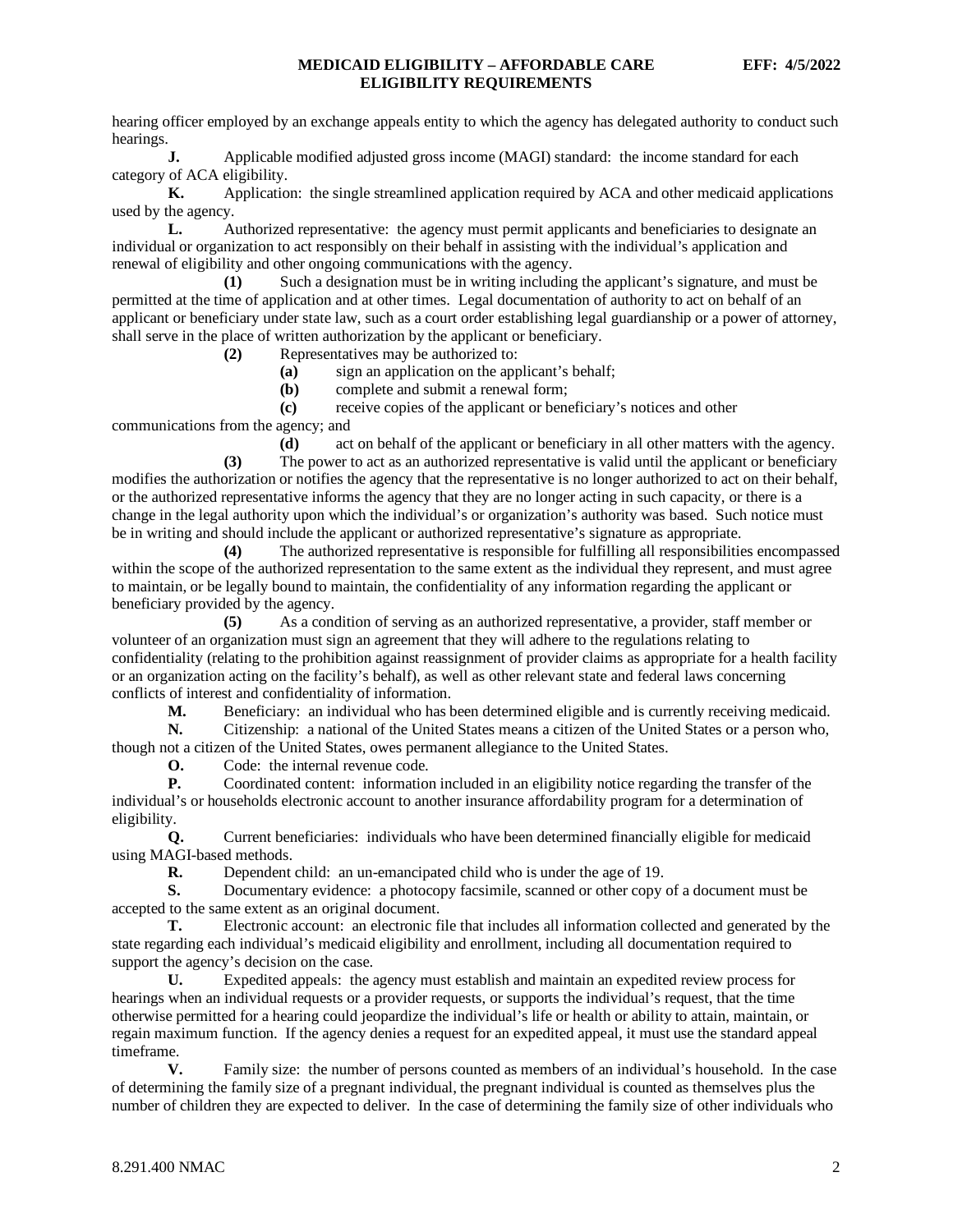hearing officer employed by an exchange appeals entity to which the agency has delegated authority to conduct such hearings.

**J.** Applicable modified adjusted gross income (MAGI) standard: the income standard for each category of ACA eligibility.

**K.** Application: the single streamlined application required by ACA and other medicaid applications used by the agency.

**L.** Authorized representative: the agency must permit applicants and beneficiaries to designate an individual or organization to act responsibly on their behalf in assisting with the individual's application and renewal of eligibility and other ongoing communications with the agency.

**(1)** Such a designation must be in writing including the applicant's signature, and must be permitted at the time of application and at other times. Legal documentation of authority to act on behalf of an applicant or beneficiary under state law, such as a court order establishing legal guardianship or a power of attorney, shall serve in the place of written authorization by the applicant or beneficiary.

**(2)** Representatives may be authorized to:

**(a)** sign an application on the applicant's behalf;

**(b)** complete and submit a renewal form;

**(c)** receive copies of the applicant or beneficiary's notices and other

communications from the agency; and

**(d)** act on behalf of the applicant or beneficiary in all other matters with the agency. **(3)** The power to act as an authorized representative is valid until the applicant or beneficiary modifies the authorization or notifies the agency that the representative is no longer authorized to act on their behalf, or the authorized representative informs the agency that they are no longer acting in such capacity, or there is a change in the legal authority upon which the individual's or organization's authority was based. Such notice must be in writing and should include the applicant or authorized representative's signature as appropriate.

**(4)** The authorized representative is responsible for fulfilling all responsibilities encompassed within the scope of the authorized representation to the same extent as the individual they represent, and must agree to maintain, or be legally bound to maintain, the confidentiality of any information regarding the applicant or beneficiary provided by the agency.

**(5)** As a condition of serving as an authorized representative, a provider, staff member or volunteer of an organization must sign an agreement that they will adhere to the regulations relating to confidentiality (relating to the prohibition against reassignment of provider claims as appropriate for a health facility or an organization acting on the facility's behalf), as well as other relevant state and federal laws concerning conflicts of interest and confidentiality of information.

**M.** Beneficiary: an individual who has been determined eligible and is currently receiving medicaid.

**N.** Citizenship: a national of the United States means a citizen of the United States or a person who, though not a citizen of the United States, owes permanent allegiance to the United States.

**O.** Code: the internal revenue code.

**P.** Coordinated content: information included in an eligibility notice regarding the transfer of the individual's or households electronic account to another insurance affordability program for a determination of eligibility.

**Q.** Current beneficiaries: individuals who have been determined financially eligible for medicaid using MAGI-based methods.<br>R. Dependent

**R.** Dependent child: an un-emancipated child who is under the age of 19.

**S.** Documentary evidence: a photocopy facsimile, scanned or other copy of a document must be accepted to the same extent as an original document.

**T.** Electronic account: an electronic file that includes all information collected and generated by the state regarding each individual's medicaid eligibility and enrollment, including all documentation required to support the agency's decision on the case.

**U.** Expedited appeals: the agency must establish and maintain an expedited review process for hearings when an individual requests or a provider requests, or supports the individual's request, that the time otherwise permitted for a hearing could jeopardize the individual's life or health or ability to attain, maintain, or regain maximum function. If the agency denies a request for an expedited appeal, it must use the standard appeal timeframe.

**V.** Family size: the number of persons counted as members of an individual's household. In the case of determining the family size of a pregnant individual, the pregnant individual is counted as themselves plus the number of children they are expected to deliver. In the case of determining the family size of other individuals who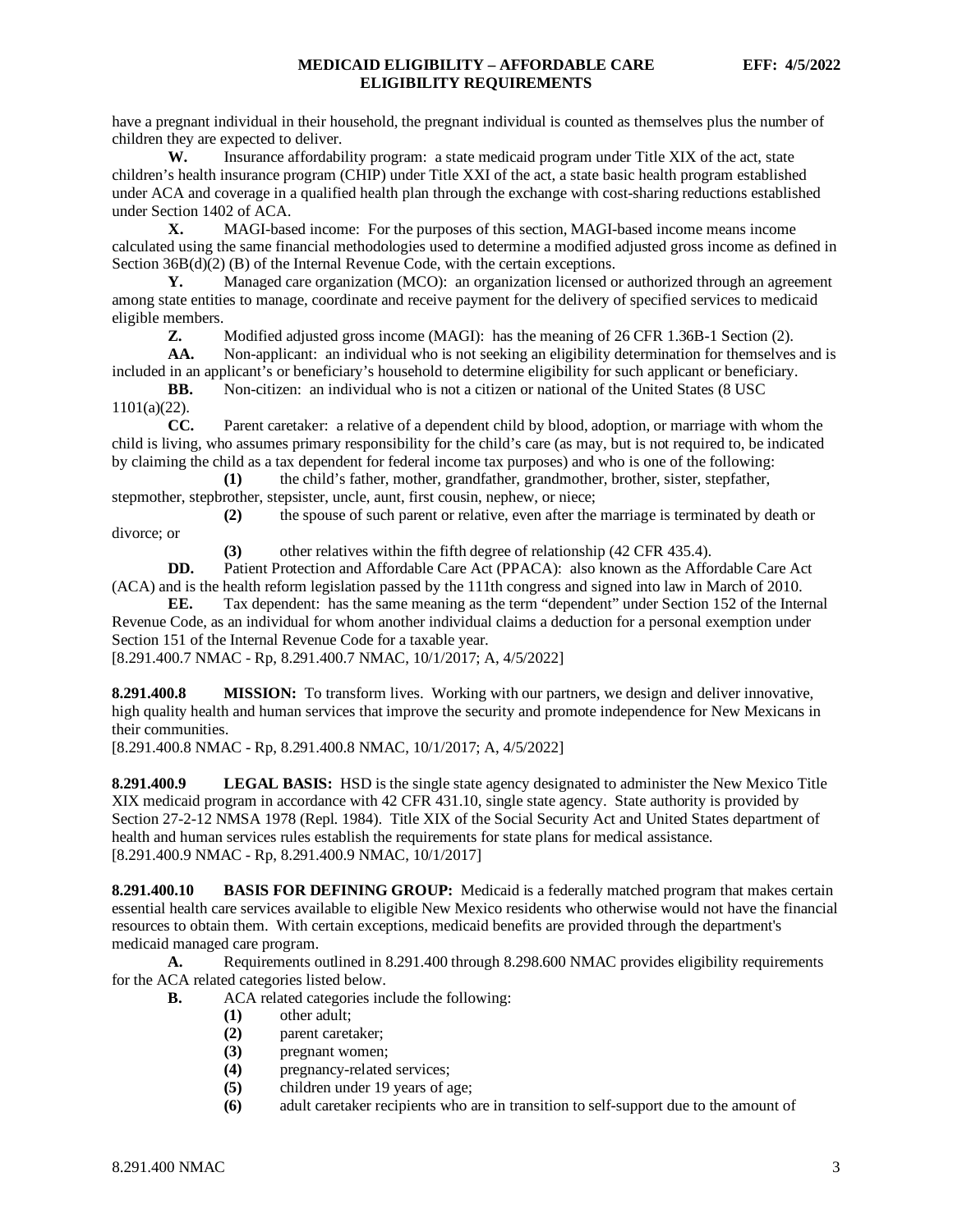have a pregnant individual in their household, the pregnant individual is counted as themselves plus the number of children they are expected to deliver.

**W.** Insurance affordability program: a state medicaid program under Title XIX of the act, state children's health insurance program (CHIP) under Title XXI of the act, a state basic health program established under ACA and coverage in a qualified health plan through the exchange with cost-sharing reductions established under Section 1402 of ACA.

**X.** MAGI-based income: For the purposes of this section, MAGI-based income means income calculated using the same financial methodologies used to determine a modified adjusted gross income as defined in Section 36B(d)(2) (B) of the Internal Revenue Code, with the certain exceptions.

**Y.** Managed care organization (MCO): an organization licensed or authorized through an agreement among state entities to manage, coordinate and receive payment for the delivery of specified services to medicaid eligible members.<br> $\mathbf{Z}$ .

**Z.** Modified adjusted gross income (MAGI): has the meaning of 26 CFR 1.36B-1 Section (2).

**AA.** Non-applicant: an individual who is not seeking an eligibility determination for themselves and is included in an applicant's or beneficiary's household to determine eligibility for such applicant or beneficiary.

**BB.** Non-citizen: an individual who is not a citizen or national of the United States (8 USC 1101(a)(22).

**CC.** Parent caretaker: a relative of a dependent child by blood, adoption, or marriage with whom the child is living, who assumes primary responsibility for the child's care (as may, but is not required to, be indicated by claiming the child as a tax dependent for federal income tax purposes) and who is one of the following:

**(1)** the child's father, mother, grandfather, grandmother, brother, sister, stepfather, stepmother, stepbrother, stepsister, uncle, aunt, first cousin, nephew, or niece;

**(2)** the spouse of such parent or relative, even after the marriage is terminated by death or divorce; or

**(3)** other relatives within the fifth degree of relationship (42 CFR 435.4).

**DD.** Patient Protection and Affordable Care Act (PPACA): also known as the Affordable Care Act (ACA) and is the health reform legislation passed by the 111th congress and signed into law in March of 2010.

**EE.** Tax dependent: has the same meaning as the term "dependent" under Section 152 of the Internal Revenue Code, as an individual for whom another individual claims a deduction for a personal exemption under Section 151 of the Internal Revenue Code for a taxable year.

[8.291.400.7 NMAC - Rp, 8.291.400.7 NMAC, 10/1/2017; A, 4/5/2022]

<span id="page-3-0"></span>**8.291.400.8 MISSION:** To transform lives. Working with our partners, we design and deliver innovative, high quality health and human services that improve the security and promote independence for New Mexicans in their communities.

[8.291.400.8 NMAC - Rp, 8.291.400.8 NMAC, 10/1/2017; A, 4/5/2022]

<span id="page-3-1"></span>**8.291.400.9 LEGAL BASIS:** HSD is the single state agency designated to administer the New Mexico Title XIX medicaid program in accordance with 42 CFR 431.10, single state agency. State authority is provided by Section 27-2-12 NMSA 1978 (Repl. 1984). Title XIX of the Social Security Act and United States department of health and human services rules establish the requirements for state plans for medical assistance. [8.291.400.9 NMAC - Rp, 8.291.400.9 NMAC, 10/1/2017]

<span id="page-3-2"></span>**8.291.400.10 BASIS FOR DEFINING GROUP:** Medicaid is a federally matched program that makes certain essential health care services available to eligible New Mexico residents who otherwise would not have the financial resources to obtain them. With certain exceptions, medicaid benefits are provided through the department's medicaid managed care program.

**A.** Requirements outlined in 8.291.400 through 8.298.600 NMAC provides eligibility requirements for the ACA related categories listed below.

- **B.** ACA related categories include the following:
	- **(1)** other adult;
	- **(2)** parent caretaker;
	- **(3)** pregnant women;
	- (4) pregnancy-related services;<br>(5) children under 19 years of a
	- children under 19 years of age;
	- **(6)** adult caretaker recipients who are in transition to self-support due to the amount of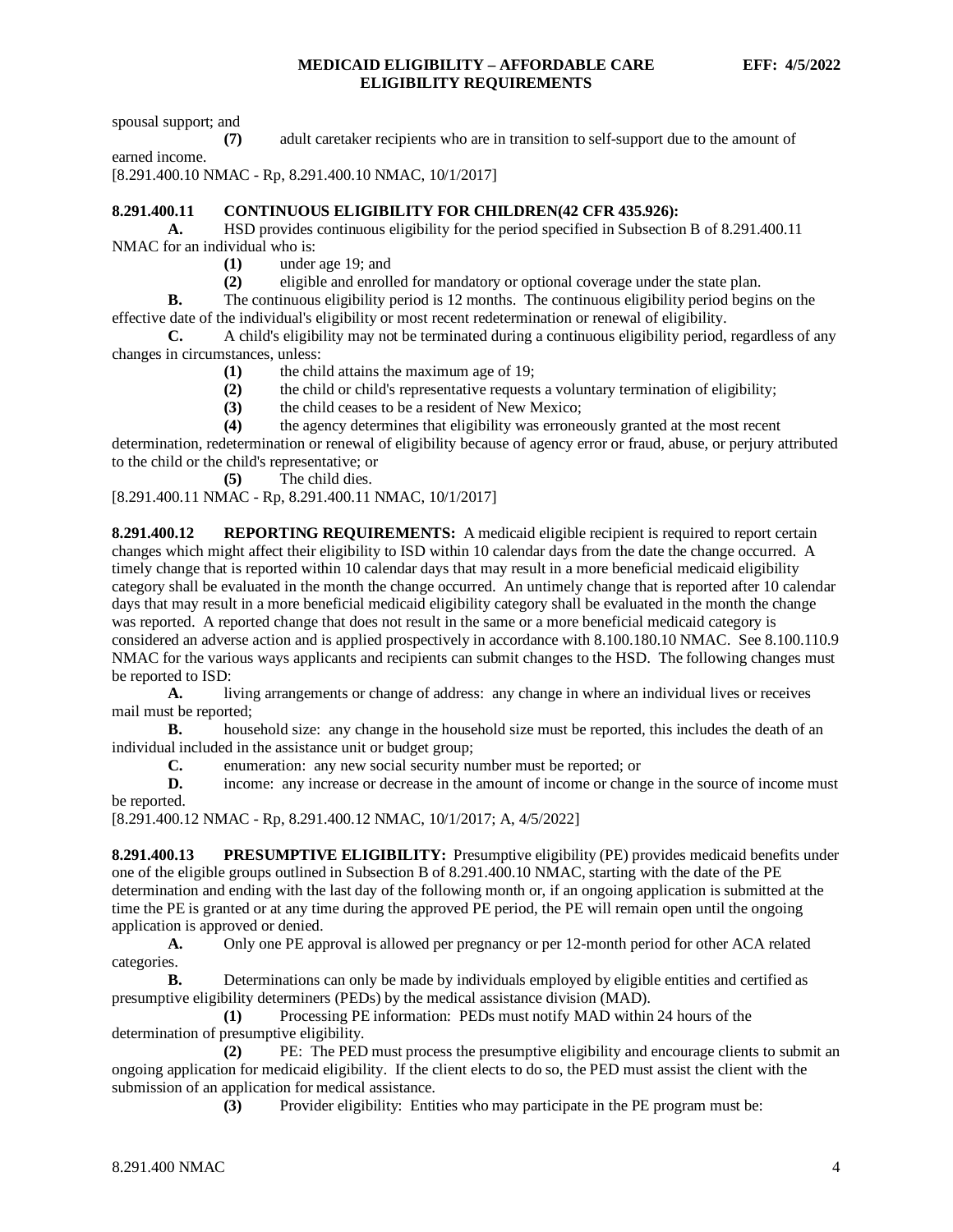spousal support; and

**(7)** adult caretaker recipients who are in transition to self-support due to the amount of earned income.

[8.291.400.10 NMAC - Rp, 8.291.400.10 NMAC, 10/1/2017]

### <span id="page-4-0"></span>**8.291.400.11 CONTINUOUS ELIGIBILITY FOR CHILDREN(42 CFR 435.926):**

**A.** HSD provides continuous eligibility for the period specified in Subsection B of 8.291.400.11 NMAC for an individual who is:

**(1)** under age 19; and

**(2)** eligible and enrolled for mandatory or optional coverage under the state plan.

**B.** The continuous eligibility period is 12 months. The continuous eligibility period begins on the effective date of the individual's eligibility or most recent redetermination or renewal of eligibility.

**C.** A child's eligibility may not be terminated during a continuous eligibility period, regardless of any changes in circumstances, unless:

- **(1)** the child attains the maximum age of 19;
- **(2)** the child or child's representative requests a voluntary termination of eligibility;

**(3)** the child ceases to be a resident of New Mexico;

**(4)** the agency determines that eligibility was erroneously granted at the most recent

determination, redetermination or renewal of eligibility because of agency error or fraud, abuse, or perjury attributed to the child or the child's representative; or

**(5)** The child dies.

[8.291.400.11 NMAC - Rp, 8.291.400.11 NMAC, 10/1/2017]

<span id="page-4-1"></span>**8.291.400.12 REPORTING REQUIREMENTS:** A medicaid eligible recipient is required to report certain changes which might affect their eligibility to ISD within 10 calendar days from the date the change occurred. A timely change that is reported within 10 calendar days that may result in a more beneficial medicaid eligibility category shall be evaluated in the month the change occurred. An untimely change that is reported after 10 calendar days that may result in a more beneficial medicaid eligibility category shall be evaluated in the month the change was reported. A reported change that does not result in the same or a more beneficial medicaid category is considered an adverse action and is applied prospectively in accordance with 8.100.180.10 NMAC. See 8.100.110.9 NMAC for the various ways applicants and recipients can submit changes to the HSD. The following changes must be reported to ISD:

**A.** living arrangements or change of address: any change in where an individual lives or receives mail must be reported;

**B.** household size: any change in the household size must be reported, this includes the death of an individual included in the assistance unit or budget group;

**C.** enumeration: any new social security number must be reported; or

**D.** income: any increase or decrease in the amount of income or change in the source of income must be reported.

[8.291.400.12 NMAC - Rp, 8.291.400.12 NMAC, 10/1/2017; A, 4/5/2022]

<span id="page-4-2"></span>**8.291.400.13 PRESUMPTIVE ELIGIBILITY:** Presumptive eligibility (PE) provides medicaid benefits under one of the eligible groups outlined in Subsection B of 8.291.400.10 NMAC, starting with the date of the PE determination and ending with the last day of the following month or, if an ongoing application is submitted at the time the PE is granted or at any time during the approved PE period, the PE will remain open until the ongoing application is approved or denied.

**A.** Only one PE approval is allowed per pregnancy or per 12-month period for other ACA related categories.

**B.** Determinations can only be made by individuals employed by eligible entities and certified as presumptive eligibility determiners (PEDs) by the medical assistance division (MAD).

**(1)** Processing PE information: PEDs must notify MAD within 24 hours of the determination of presumptive eligibility.

**(2)** PE: The PED must process the presumptive eligibility and encourage clients to submit an ongoing application for medicaid eligibility. If the client elects to do so, the PED must assist the client with the submission of an application for medical assistance.

**(3)** Provider eligibility: Entities who may participate in the PE program must be: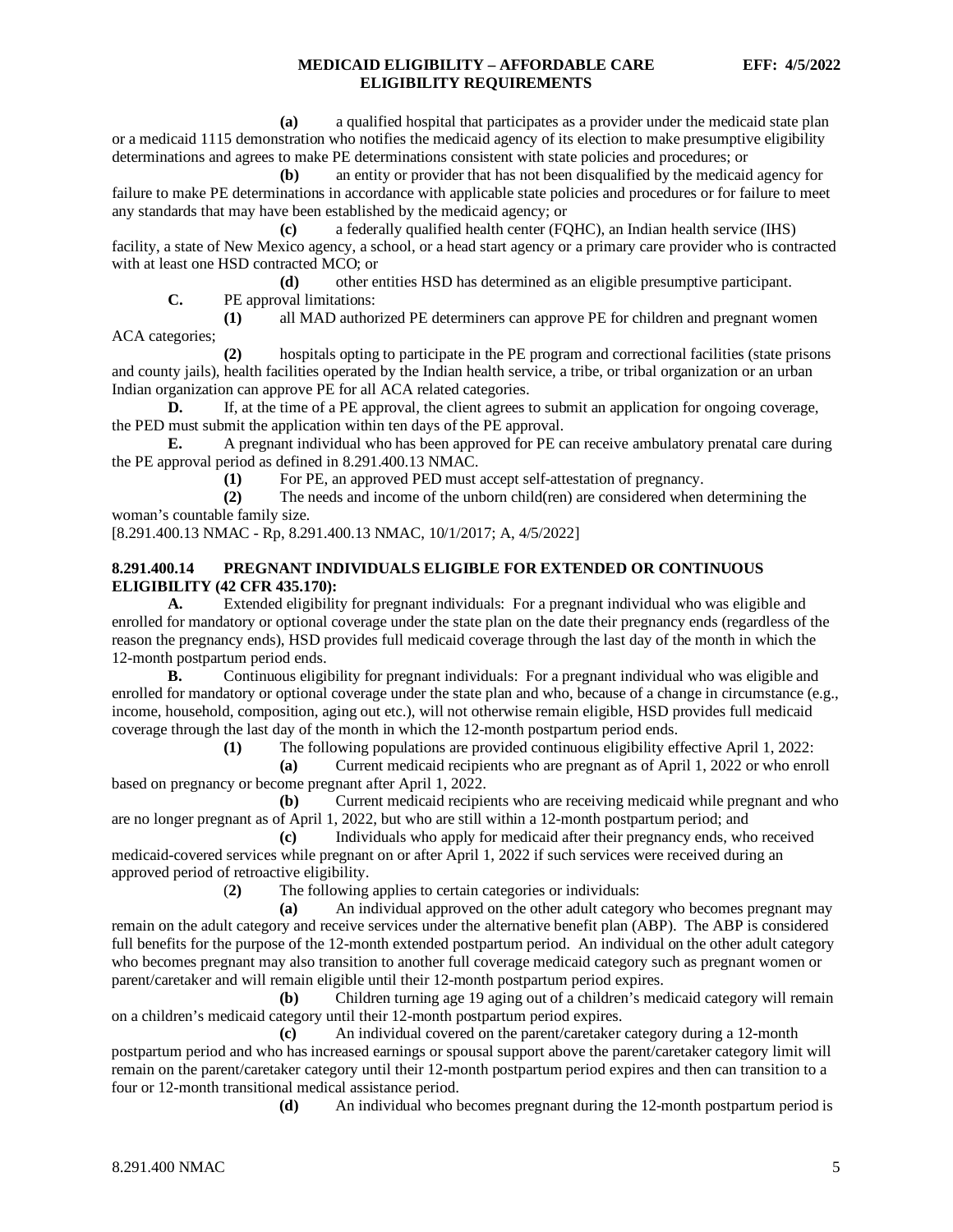**(a)** a qualified hospital that participates as a provider under the medicaid state plan or a medicaid 1115 demonstration who notifies the medicaid agency of its election to make presumptive eligibility determinations and agrees to make PE determinations consistent with state policies and procedures; or

**(b)** an entity or provider that has not been disqualified by the medicaid agency for failure to make PE determinations in accordance with applicable state policies and procedures or for failure to meet any standards that may have been established by the medicaid agency; or

**(c)** a federally qualified health center (FQHC), an Indian health service (IHS) facility, a state of New Mexico agency, a school, or a head start agency or a primary care provider who is contracted with at least one HSD contracted MCO; or

**(d)** other entities HSD has determined as an eligible presumptive participant.

**C.** PE approval limitations:

**(1)** all MAD authorized PE determiners can approve PE for children and pregnant women ACA categories;

**(2)** hospitals opting to participate in the PE program and correctional facilities (state prisons and county jails), health facilities operated by the Indian health service, a tribe, or tribal organization or an urban Indian organization can approve PE for all ACA related categories.

**D.** If, at the time of a PE approval, the client agrees to submit an application for ongoing coverage, the PED must submit the application within ten days of the PE approval.

**E.** A pregnant individual who has been approved for PE can receive ambulatory prenatal care during the PE approval period as defined in 8.291.400.13 NMAC.

**(1)** For PE, an approved PED must accept self-attestation of pregnancy.

**(2)** The needs and income of the unborn child(ren) are considered when determining the woman's countable family size.

[8.291.400.13 NMAC - Rp, 8.291.400.13 NMAC, 10/1/2017; A, 4/5/2022]

# <span id="page-5-0"></span>**8.291.400.14 PREGNANT INDIVIDUALS ELIGIBLE FOR EXTENDED OR CONTINUOUS ELIGIBILITY (42 CFR 435.170):**

**A.** Extended eligibility for pregnant individuals: For a pregnant individual who was eligible and enrolled for mandatory or optional coverage under the state plan on the date their pregnancy ends (regardless of the reason the pregnancy ends), HSD provides full medicaid coverage through the last day of the month in which the 12-month postpartum period ends.

**B.** Continuous eligibility for pregnant individuals: For a pregnant individual who was eligible and enrolled for mandatory or optional coverage under the state plan and who, because of a change in circumstance (e.g., income, household, composition, aging out etc.), will not otherwise remain eligible, HSD provides full medicaid coverage through the last day of the month in which the 12-month postpartum period ends.

**(1)** The following populations are provided continuous eligibility effective April 1, 2022:

**(a)** Current medicaid recipients who are pregnant as of April 1, 2022 or who enroll based on pregnancy or become pregnant after April 1, 2022.

**(b)** Current medicaid recipients who are receiving medicaid while pregnant and who are no longer pregnant as of April 1, 2022, but who are still within a 12-month postpartum period; and

**(c)** Individuals who apply for medicaid after their pregnancy ends, who received medicaid-covered services while pregnant on or after April 1, 2022 if such services were received during an approved period of retroactive eligibility.

(**2)** The following applies to certain categories or individuals:

**(a)** An individual approved on the other adult category who becomes pregnant may remain on the adult category and receive services under the alternative benefit plan (ABP). The ABP is considered full benefits for the purpose of the 12-month extended postpartum period. An individual on the other adult category who becomes pregnant may also transition to another full coverage medicaid category such as pregnant women or parent/caretaker and will remain eligible until their 12-month postpartum period expires.

**(b)** Children turning age 19 aging out of a children's medicaid category will remain on a children's medicaid category until their 12-month postpartum period expires.

**(c)** An individual covered on the parent/caretaker category during a 12-month postpartum period and who has increased earnings or spousal support above the parent/caretaker category limit will remain on the parent/caretaker category until their 12-month postpartum period expires and then can transition to a four or 12-month transitional medical assistance period.

**(d)** An individual who becomes pregnant during the 12-month postpartum period is